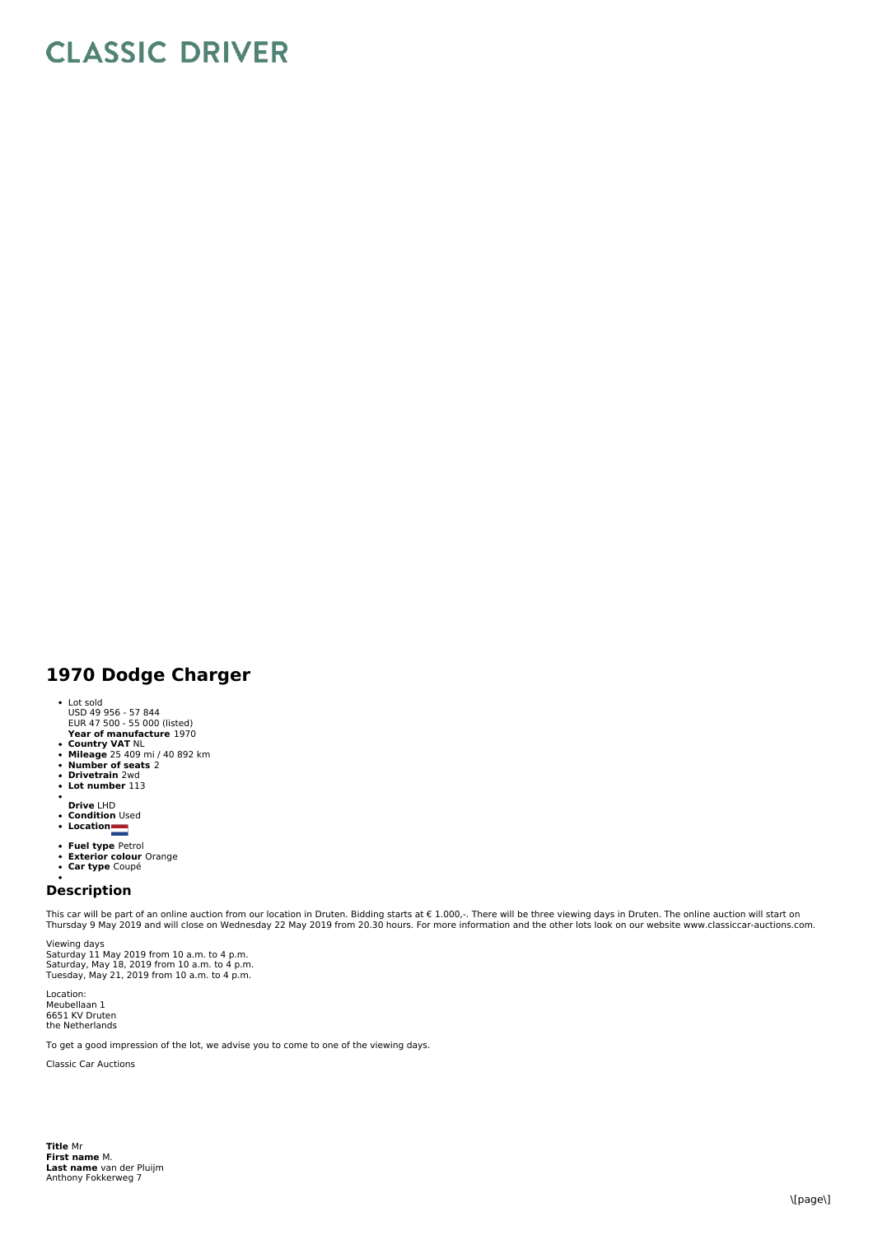## **CLASSIC DRIVER**

## **1970 Dodge Charger**

- 
- **Year of manufacture** 1970 Lot sold USD 49 956 - 57 844 EUR 47 500 - 55 000 (listed)
- 
- **Country VAT** NL **Mileage** 25 409 mi / 40 892 km **Number of seats** 2 **Drivetrain** 2wd
- 
- 
- $\ddot{\phantom{0}}$ **Lot number** 113
- 
- **Drive** LHD **Condition** Used **Location**
- 
- 
- **Fuel type** Petrol<br>**Exterior colour** Orange<br>**Car type** Coupé
- 
- 

## **Description**

This car will be part of an online auction from our location in Druten. Bidding starts at € 1.000,-. There will be three viewing days in Druten. The online auction will start on<br>Thursday 9 May 2019 and will close on Wedne

Viewing days Saturday 11 May 2019 from 10 a.m. to 4 p.m.<br>Saturday, May 18, 2019 from 10 a.m. to 4 p.m.<br>Tuesday, May 21, 2019 from 10 a.m. to 4 p.m.

Location: Meubellaan 1 6651 KV Druten the Netherlands

To get a good impression of the lot, we advise you to come to one of the viewing days.

Classic Car Auctions